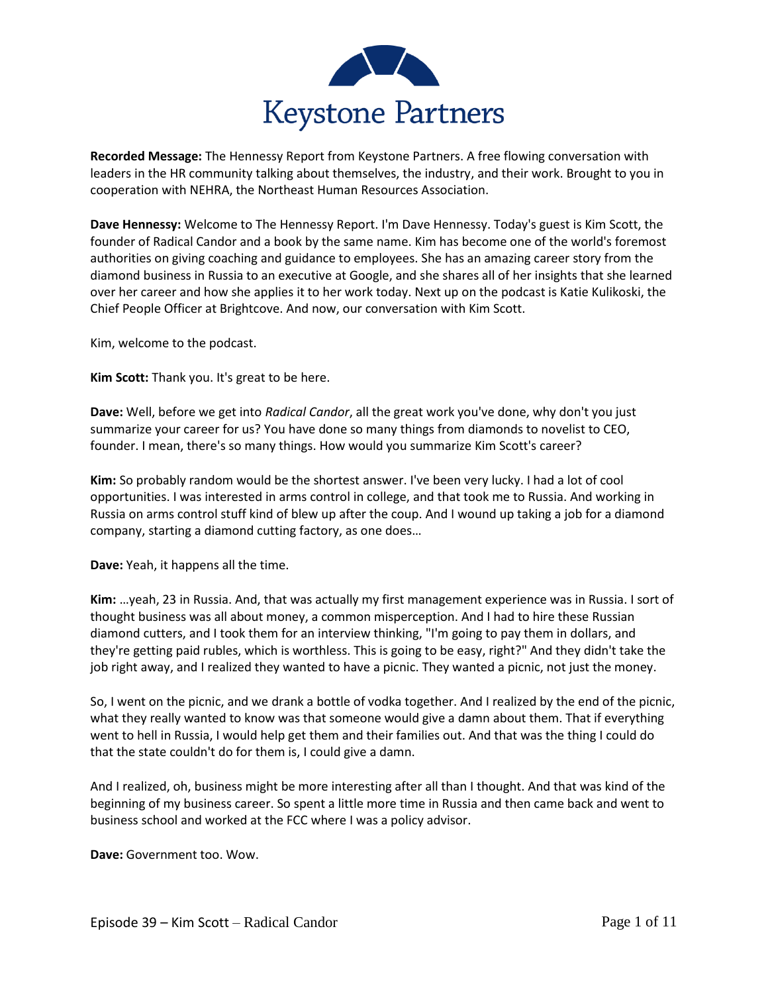

**Recorded Message:** The Hennessy Report from Keystone Partners. A free flowing conversation with leaders in the HR community talking about themselves, the industry, and their work. Brought to you in cooperation with NEHRA, the Northeast Human Resources Association.

**Dave Hennessy:** Welcome to The Hennessy Report. I'm Dave Hennessy. Today's guest is Kim Scott, the founder of Radical Candor and a book by the same name. Kim has become one of the world's foremost authorities on giving coaching and guidance to employees. She has an amazing career story from the diamond business in Russia to an executive at Google, and she shares all of her insights that she learned over her career and how she applies it to her work today. Next up on the podcast is Katie Kulikoski, the Chief People Officer at Brightcove. And now, our conversation with Kim Scott.

Kim, welcome to the podcast.

**Kim Scott:** Thank you. It's great to be here.

**Dave:** Well, before we get into *Radical Candor*, all the great work you've done, why don't you just summarize your career for us? You have done so many things from diamonds to novelist to CEO, founder. I mean, there's so many things. How would you summarize Kim Scott's career?

**Kim:** So probably random would be the shortest answer. I've been very lucky. I had a lot of cool opportunities. I was interested in arms control in college, and that took me to Russia. And working in Russia on arms control stuff kind of blew up after the coup. And I wound up taking a job for a diamond company, starting a diamond cutting factory, as one does…

**Dave:** Yeah, it happens all the time.

**Kim:** …yeah, 23 in Russia. And, that was actually my first management experience was in Russia. I sort of thought business was all about money, a common misperception. And I had to hire these Russian diamond cutters, and I took them for an interview thinking, "I'm going to pay them in dollars, and they're getting paid rubles, which is worthless. This is going to be easy, right?" And they didn't take the job right away, and I realized they wanted to have a picnic. They wanted a picnic, not just the money.

So, I went on the picnic, and we drank a bottle of vodka together. And I realized by the end of the picnic, what they really wanted to know was that someone would give a damn about them. That if everything went to hell in Russia, I would help get them and their families out. And that was the thing I could do that the state couldn't do for them is, I could give a damn.

And I realized, oh, business might be more interesting after all than I thought. And that was kind of the beginning of my business career. So spent a little more time in Russia and then came back and went to business school and worked at the FCC where I was a policy advisor.

**Dave:** Government too. Wow.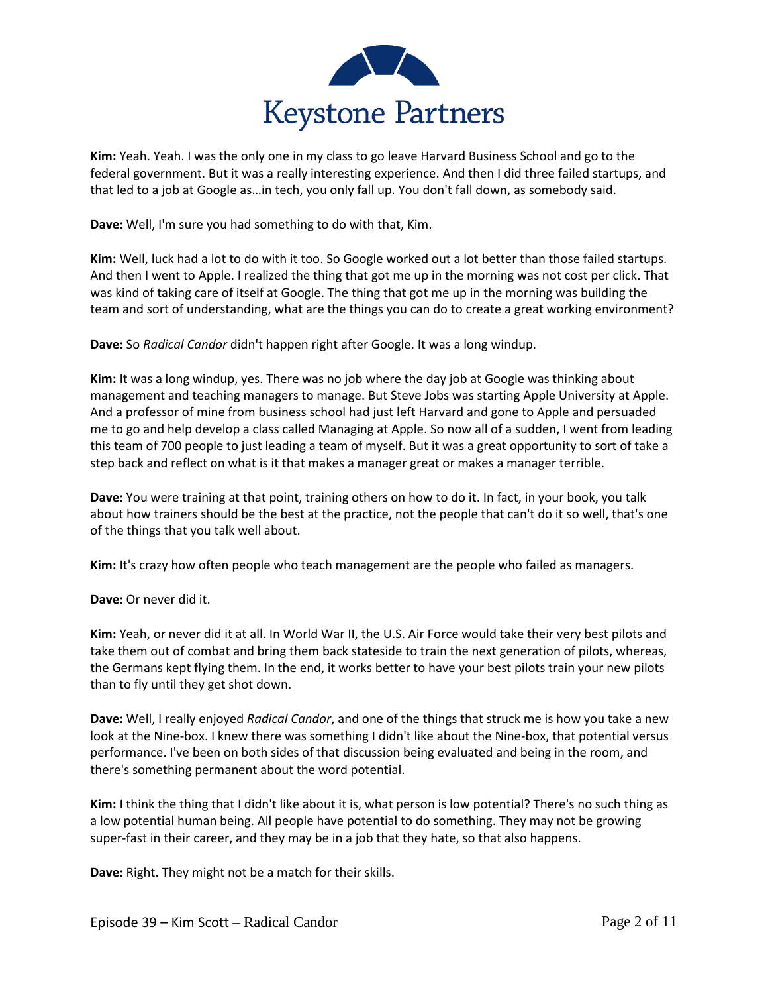

**Kim:** Yeah. Yeah. I was the only one in my class to go leave Harvard Business School and go to the federal government. But it was a really interesting experience. And then I did three failed startups, and that led to a job at Google as…in tech, you only fall up. You don't fall down, as somebody said.

**Dave:** Well, I'm sure you had something to do with that, Kim.

**Kim:** Well, luck had a lot to do with it too. So Google worked out a lot better than those failed startups. And then I went to Apple. I realized the thing that got me up in the morning was not cost per click. That was kind of taking care of itself at Google. The thing that got me up in the morning was building the team and sort of understanding, what are the things you can do to create a great working environment?

**Dave:** So *Radical Candor* didn't happen right after Google. It was a long windup.

**Kim:** It was a long windup, yes. There was no job where the day job at Google was thinking about management and teaching managers to manage. But Steve Jobs was starting Apple University at Apple. And a professor of mine from business school had just left Harvard and gone to Apple and persuaded me to go and help develop a class called Managing at Apple. So now all of a sudden, I went from leading this team of 700 people to just leading a team of myself. But it was a great opportunity to sort of take a step back and reflect on what is it that makes a manager great or makes a manager terrible.

**Dave:** You were training at that point, training others on how to do it. In fact, in your book, you talk about how trainers should be the best at the practice, not the people that can't do it so well, that's one of the things that you talk well about.

**Kim:** It's crazy how often people who teach management are the people who failed as managers.

**Dave:** Or never did it.

**Kim:** Yeah, or never did it at all. In World War II, the U.S. Air Force would take their very best pilots and take them out of combat and bring them back stateside to train the next generation of pilots, whereas, the Germans kept flying them. In the end, it works better to have your best pilots train your new pilots than to fly until they get shot down.

**Dave:** Well, I really enjoyed *Radical Candor*, and one of the things that struck me is how you take a new look at the Nine-box. I knew there was something I didn't like about the Nine-box, that potential versus performance. I've been on both sides of that discussion being evaluated and being in the room, and there's something permanent about the word potential.

**Kim:** I think the thing that I didn't like about it is, what person is low potential? There's no such thing as a low potential human being. All people have potential to do something. They may not be growing super-fast in their career, and they may be in a job that they hate, so that also happens.

**Dave:** Right. They might not be a match for their skills.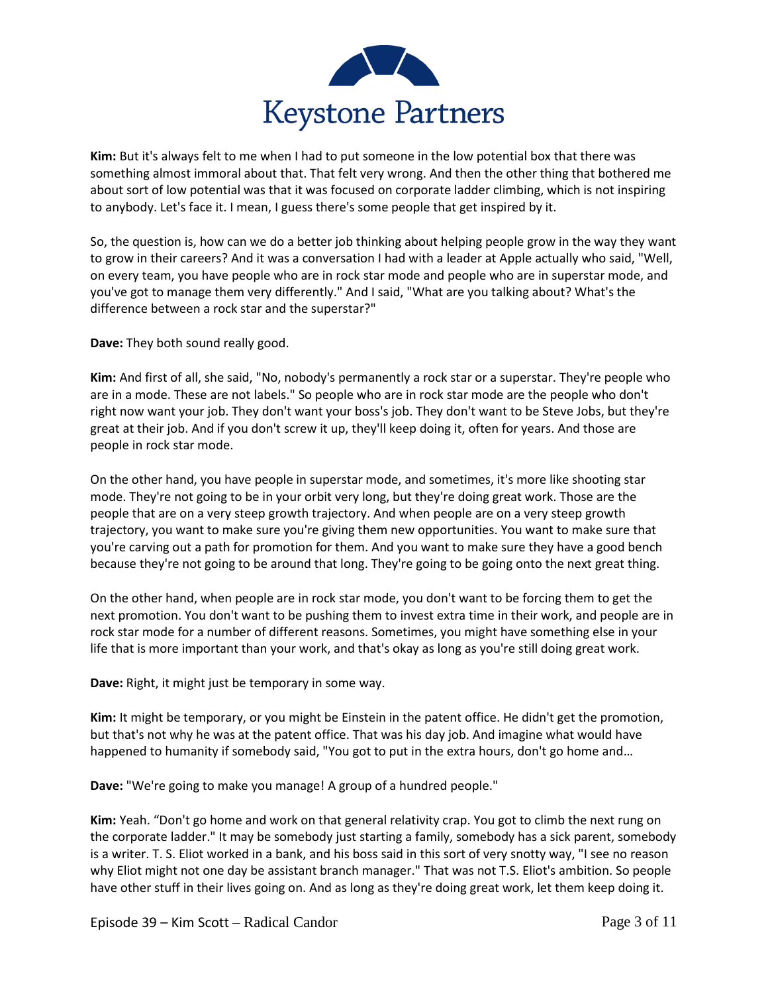

**Kim:** But it's always felt to me when I had to put someone in the low potential box that there was something almost immoral about that. That felt very wrong. And then the other thing that bothered me about sort of low potential was that it was focused on corporate ladder climbing, which is not inspiring to anybody. Let's face it. I mean, I guess there's some people that get inspired by it.

So, the question is, how can we do a better job thinking about helping people grow in the way they want to grow in their careers? And it was a conversation I had with a leader at Apple actually who said, "Well, on every team, you have people who are in rock star mode and people who are in superstar mode, and you've got to manage them very differently." And I said, "What are you talking about? What's the difference between a rock star and the superstar?"

**Dave:** They both sound really good.

**Kim:** And first of all, she said, "No, nobody's permanently a rock star or a superstar. They're people who are in a mode. These are not labels." So people who are in rock star mode are the people who don't right now want your job. They don't want your boss's job. They don't want to be Steve Jobs, but they're great at their job. And if you don't screw it up, they'll keep doing it, often for years. And those are people in rock star mode.

On the other hand, you have people in superstar mode, and sometimes, it's more like shooting star mode. They're not going to be in your orbit very long, but they're doing great work. Those are the people that are on a very steep growth trajectory. And when people are on a very steep growth trajectory, you want to make sure you're giving them new opportunities. You want to make sure that you're carving out a path for promotion for them. And you want to make sure they have a good bench because they're not going to be around that long. They're going to be going onto the next great thing.

On the other hand, when people are in rock star mode, you don't want to be forcing them to get the next promotion. You don't want to be pushing them to invest extra time in their work, and people are in rock star mode for a number of different reasons. Sometimes, you might have something else in your life that is more important than your work, and that's okay as long as you're still doing great work.

**Dave:** Right, it might just be temporary in some way.

**Kim:** It might be temporary, or you might be Einstein in the patent office. He didn't get the promotion, but that's not why he was at the patent office. That was his day job. And imagine what would have happened to humanity if somebody said, "You got to put in the extra hours, don't go home and…

**Dave:** "We're going to make you manage! A group of a hundred people."

**Kim:** Yeah. "Don't go home and work on that general relativity crap. You got to climb the next rung on the corporate ladder." It may be somebody just starting a family, somebody has a sick parent, somebody is a writer. T. S. Eliot worked in a bank, and his boss said in this sort of very snotty way, "I see no reason why Eliot might not one day be assistant branch manager." That was not T.S. Eliot's ambition. So people have other stuff in their lives going on. And as long as they're doing great work, let them keep doing it.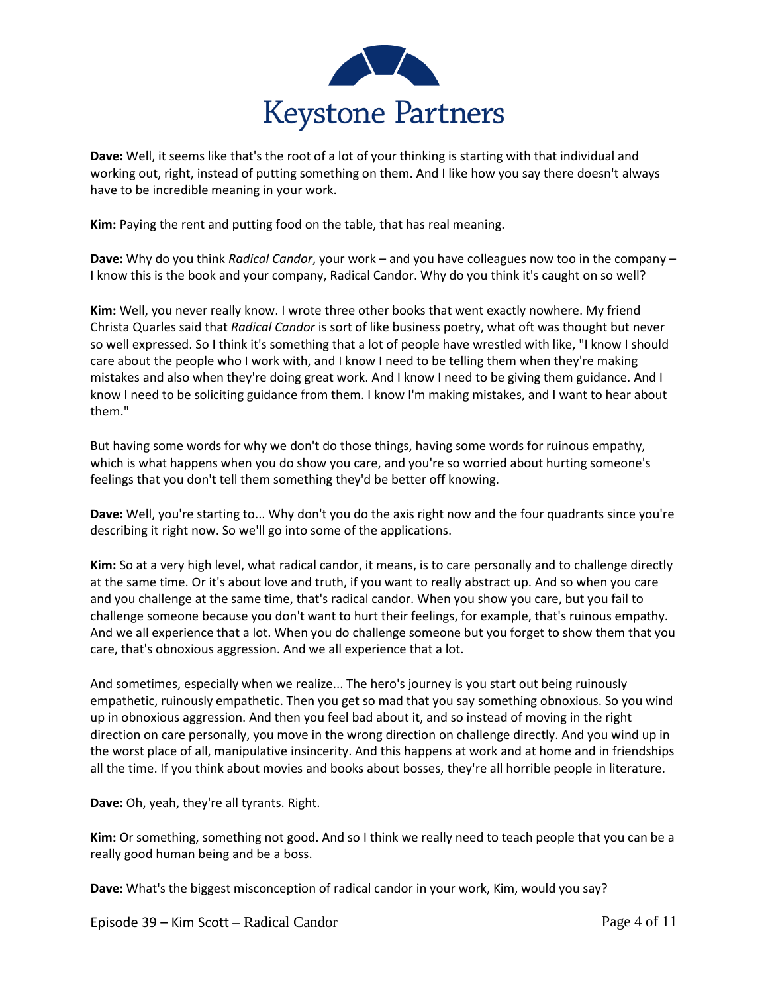

**Dave:** Well, it seems like that's the root of a lot of your thinking is starting with that individual and working out, right, instead of putting something on them. And I like how you say there doesn't always have to be incredible meaning in your work.

**Kim:** Paying the rent and putting food on the table, that has real meaning.

**Dave:** Why do you think *Radical Candor*, your work – and you have colleagues now too in the company – I know this is the book and your company, Radical Candor. Why do you think it's caught on so well?

**Kim:** Well, you never really know. I wrote three other books that went exactly nowhere. My friend Christa Quarles said that *Radical Candor* is sort of like business poetry, what oft was thought but never so well expressed. So I think it's something that a lot of people have wrestled with like, "I know I should care about the people who I work with, and I know I need to be telling them when they're making mistakes and also when they're doing great work. And I know I need to be giving them guidance. And I know I need to be soliciting guidance from them. I know I'm making mistakes, and I want to hear about them."

But having some words for why we don't do those things, having some words for ruinous empathy, which is what happens when you do show you care, and you're so worried about hurting someone's feelings that you don't tell them something they'd be better off knowing.

**Dave:** Well, you're starting to... Why don't you do the axis right now and the four quadrants since you're describing it right now. So we'll go into some of the applications.

**Kim:** So at a very high level, what radical candor, it means, is to care personally and to challenge directly at the same time. Or it's about love and truth, if you want to really abstract up. And so when you care and you challenge at the same time, that's radical candor. When you show you care, but you fail to challenge someone because you don't want to hurt their feelings, for example, that's ruinous empathy. And we all experience that a lot. When you do challenge someone but you forget to show them that you care, that's obnoxious aggression. And we all experience that a lot.

And sometimes, especially when we realize... The hero's journey is you start out being ruinously empathetic, ruinously empathetic. Then you get so mad that you say something obnoxious. So you wind up in obnoxious aggression. And then you feel bad about it, and so instead of moving in the right direction on care personally, you move in the wrong direction on challenge directly. And you wind up in the worst place of all, manipulative insincerity. And this happens at work and at home and in friendships all the time. If you think about movies and books about bosses, they're all horrible people in literature.

**Dave:** Oh, yeah, they're all tyrants. Right.

**Kim:** Or something, something not good. And so I think we really need to teach people that you can be a really good human being and be a boss.

**Dave:** What's the biggest misconception of radical candor in your work, Kim, would you say?

Episode 39 – Kim Scott – Radical Candor Page 4 of 11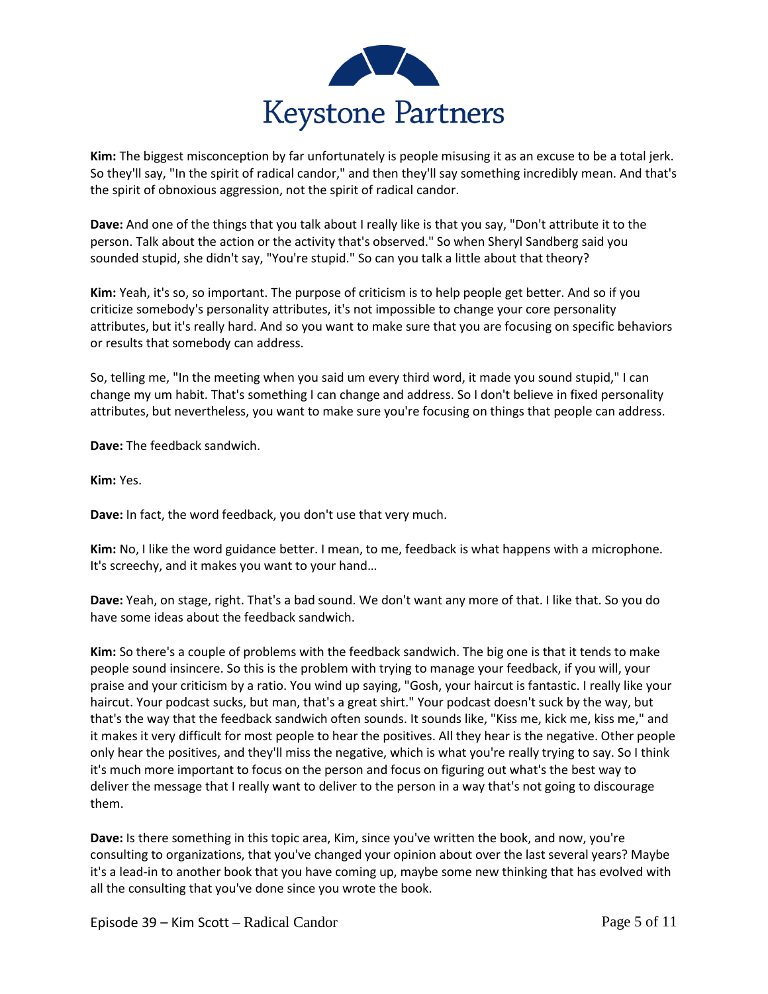

**Kim:** The biggest misconception by far unfortunately is people misusing it as an excuse to be a total jerk. So they'll say, "In the spirit of radical candor," and then they'll say something incredibly mean. And that's the spirit of obnoxious aggression, not the spirit of radical candor.

**Dave:** And one of the things that you talk about I really like is that you say, "Don't attribute it to the person. Talk about the action or the activity that's observed." So when Sheryl Sandberg said you sounded stupid, she didn't say, "You're stupid." So can you talk a little about that theory?

**Kim:** Yeah, it's so, so important. The purpose of criticism is to help people get better. And so if you criticize somebody's personality attributes, it's not impossible to change your core personality attributes, but it's really hard. And so you want to make sure that you are focusing on specific behaviors or results that somebody can address.

So, telling me, "In the meeting when you said um every third word, it made you sound stupid," I can change my um habit. That's something I can change and address. So I don't believe in fixed personality attributes, but nevertheless, you want to make sure you're focusing on things that people can address.

**Dave:** The feedback sandwich.

**Kim:** Yes.

**Dave:** In fact, the word feedback, you don't use that very much.

**Kim:** No, I like the word guidance better. I mean, to me, feedback is what happens with a microphone. It's screechy, and it makes you want to your hand…

**Dave:** Yeah, on stage, right. That's a bad sound. We don't want any more of that. I like that. So you do have some ideas about the feedback sandwich.

**Kim:** So there's a couple of problems with the feedback sandwich. The big one is that it tends to make people sound insincere. So this is the problem with trying to manage your feedback, if you will, your praise and your criticism by a ratio. You wind up saying, "Gosh, your haircut is fantastic. I really like your haircut. Your podcast sucks, but man, that's a great shirt." Your podcast doesn't suck by the way, but that's the way that the feedback sandwich often sounds. It sounds like, "Kiss me, kick me, kiss me," and it makes it very difficult for most people to hear the positives. All they hear is the negative. Other people only hear the positives, and they'll miss the negative, which is what you're really trying to say. So I think it's much more important to focus on the person and focus on figuring out what's the best way to deliver the message that I really want to deliver to the person in a way that's not going to discourage them.

**Dave:** Is there something in this topic area, Kim, since you've written the book, and now, you're consulting to organizations, that you've changed your opinion about over the last several years? Maybe it's a lead-in to another book that you have coming up, maybe some new thinking that has evolved with all the consulting that you've done since you wrote the book.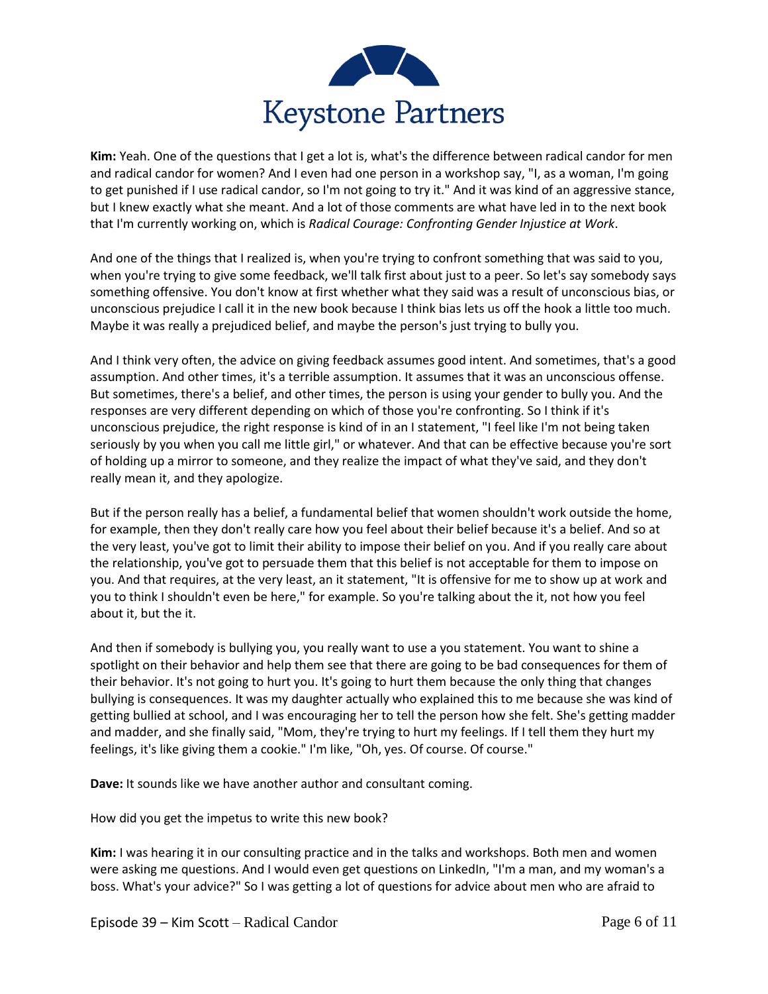

**Kim:** Yeah. One of the questions that I get a lot is, what's the difference between radical candor for men and radical candor for women? And I even had one person in a workshop say, "I, as a woman, I'm going to get punished if I use radical candor, so I'm not going to try it." And it was kind of an aggressive stance, but I knew exactly what she meant. And a lot of those comments are what have led in to the next book that I'm currently working on, which is *Radical Courage: Confronting Gender Injustice at Work*.

And one of the things that I realized is, when you're trying to confront something that was said to you, when you're trying to give some feedback, we'll talk first about just to a peer. So let's say somebody says something offensive. You don't know at first whether what they said was a result of unconscious bias, or unconscious prejudice I call it in the new book because I think bias lets us off the hook a little too much. Maybe it was really a prejudiced belief, and maybe the person's just trying to bully you.

And I think very often, the advice on giving feedback assumes good intent. And sometimes, that's a good assumption. And other times, it's a terrible assumption. It assumes that it was an unconscious offense. But sometimes, there's a belief, and other times, the person is using your gender to bully you. And the responses are very different depending on which of those you're confronting. So I think if it's unconscious prejudice, the right response is kind of in an I statement, "I feel like I'm not being taken seriously by you when you call me little girl," or whatever. And that can be effective because you're sort of holding up a mirror to someone, and they realize the impact of what they've said, and they don't really mean it, and they apologize.

But if the person really has a belief, a fundamental belief that women shouldn't work outside the home, for example, then they don't really care how you feel about their belief because it's a belief. And so at the very least, you've got to limit their ability to impose their belief on you. And if you really care about the relationship, you've got to persuade them that this belief is not acceptable for them to impose on you. And that requires, at the very least, an it statement, "It is offensive for me to show up at work and you to think I shouldn't even be here," for example. So you're talking about the it, not how you feel about it, but the it.

And then if somebody is bullying you, you really want to use a you statement. You want to shine a spotlight on their behavior and help them see that there are going to be bad consequences for them of their behavior. It's not going to hurt you. It's going to hurt them because the only thing that changes bullying is consequences. It was my daughter actually who explained this to me because she was kind of getting bullied at school, and I was encouraging her to tell the person how she felt. She's getting madder and madder, and she finally said, "Mom, they're trying to hurt my feelings. If I tell them they hurt my feelings, it's like giving them a cookie." I'm like, "Oh, yes. Of course. Of course."

**Dave:** It sounds like we have another author and consultant coming.

How did you get the impetus to write this new book?

**Kim:** I was hearing it in our consulting practice and in the talks and workshops. Both men and women were asking me questions. And I would even get questions on LinkedIn, "I'm a man, and my woman's a boss. What's your advice?" So I was getting a lot of questions for advice about men who are afraid to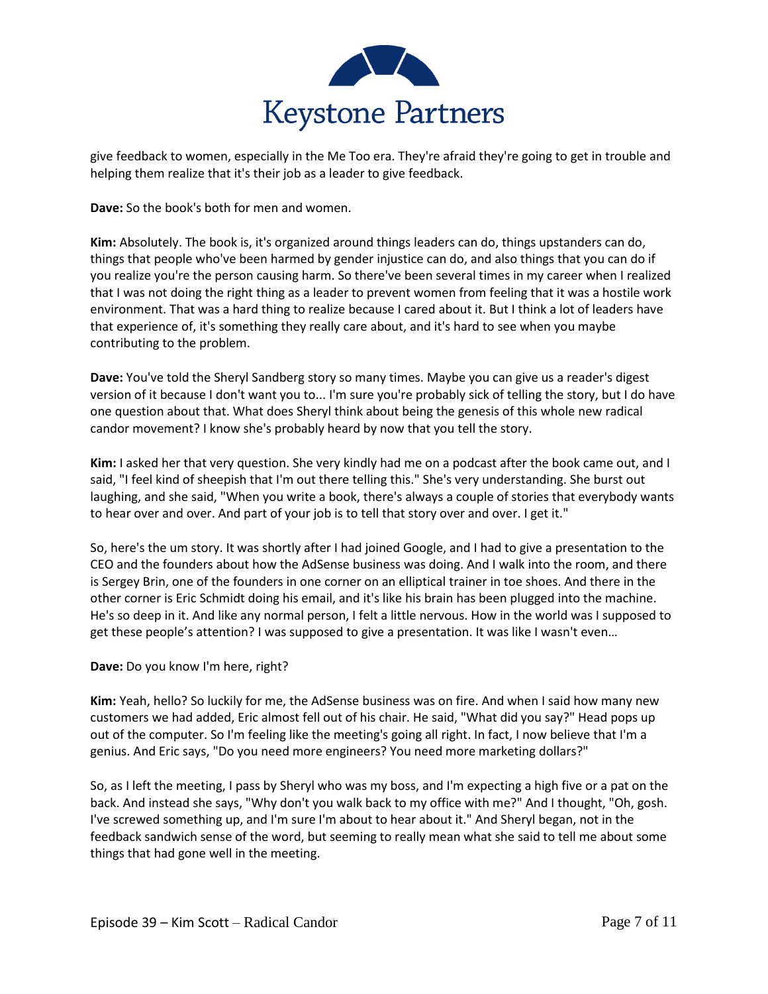

give feedback to women, especially in the Me Too era. They're afraid they're going to get in trouble and helping them realize that it's their job as a leader to give feedback.

**Dave:** So the book's both for men and women.

**Kim:** Absolutely. The book is, it's organized around things leaders can do, things upstanders can do, things that people who've been harmed by gender injustice can do, and also things that you can do if you realize you're the person causing harm. So there've been several times in my career when I realized that I was not doing the right thing as a leader to prevent women from feeling that it was a hostile work environment. That was a hard thing to realize because I cared about it. But I think a lot of leaders have that experience of, it's something they really care about, and it's hard to see when you maybe contributing to the problem.

**Dave:** You've told the Sheryl Sandberg story so many times. Maybe you can give us a reader's digest version of it because I don't want you to... I'm sure you're probably sick of telling the story, but I do have one question about that. What does Sheryl think about being the genesis of this whole new radical candor movement? I know she's probably heard by now that you tell the story.

**Kim:** I asked her that very question. She very kindly had me on a podcast after the book came out, and I said, "I feel kind of sheepish that I'm out there telling this." She's very understanding. She burst out laughing, and she said, "When you write a book, there's always a couple of stories that everybody wants to hear over and over. And part of your job is to tell that story over and over. I get it."

So, here's the um story. It was shortly after I had joined Google, and I had to give a presentation to the CEO and the founders about how the AdSense business was doing. And I walk into the room, and there is Sergey Brin, one of the founders in one corner on an elliptical trainer in toe shoes. And there in the other corner is Eric Schmidt doing his email, and it's like his brain has been plugged into the machine. He's so deep in it. And like any normal person, I felt a little nervous. How in the world was I supposed to get these people's attention? I was supposed to give a presentation. It was like I wasn't even…

## **Dave:** Do you know I'm here, right?

**Kim:** Yeah, hello? So luckily for me, the AdSense business was on fire. And when I said how many new customers we had added, Eric almost fell out of his chair. He said, "What did you say?" Head pops up out of the computer. So I'm feeling like the meeting's going all right. In fact, I now believe that I'm a genius. And Eric says, "Do you need more engineers? You need more marketing dollars?"

So, as I left the meeting, I pass by Sheryl who was my boss, and I'm expecting a high five or a pat on the back. And instead she says, "Why don't you walk back to my office with me?" And I thought, "Oh, gosh. I've screwed something up, and I'm sure I'm about to hear about it." And Sheryl began, not in the feedback sandwich sense of the word, but seeming to really mean what she said to tell me about some things that had gone well in the meeting.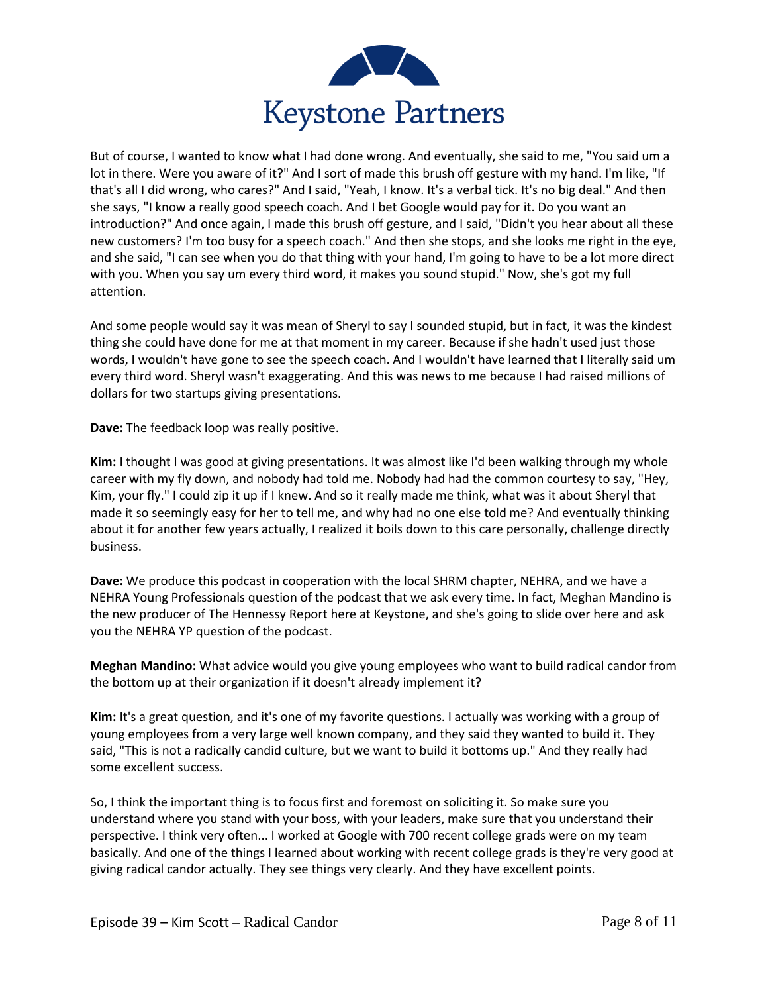

But of course, I wanted to know what I had done wrong. And eventually, she said to me, "You said um a lot in there. Were you aware of it?" And I sort of made this brush off gesture with my hand. I'm like, "If that's all I did wrong, who cares?" And I said, "Yeah, I know. It's a verbal tick. It's no big deal." And then she says, "I know a really good speech coach. And I bet Google would pay for it. Do you want an introduction?" And once again, I made this brush off gesture, and I said, "Didn't you hear about all these new customers? I'm too busy for a speech coach." And then she stops, and she looks me right in the eye, and she said, "I can see when you do that thing with your hand, I'm going to have to be a lot more direct with you. When you say um every third word, it makes you sound stupid." Now, she's got my full attention.

And some people would say it was mean of Sheryl to say I sounded stupid, but in fact, it was the kindest thing she could have done for me at that moment in my career. Because if she hadn't used just those words, I wouldn't have gone to see the speech coach. And I wouldn't have learned that I literally said um every third word. Sheryl wasn't exaggerating. And this was news to me because I had raised millions of dollars for two startups giving presentations.

**Dave:** The feedback loop was really positive.

**Kim:** I thought I was good at giving presentations. It was almost like I'd been walking through my whole career with my fly down, and nobody had told me. Nobody had had the common courtesy to say, "Hey, Kim, your fly." I could zip it up if I knew. And so it really made me think, what was it about Sheryl that made it so seemingly easy for her to tell me, and why had no one else told me? And eventually thinking about it for another few years actually, I realized it boils down to this care personally, challenge directly business.

**Dave:** We produce this podcast in cooperation with the local SHRM chapter, NEHRA, and we have a NEHRA Young Professionals question of the podcast that we ask every time. In fact, Meghan Mandino is the new producer of The Hennessy Report here at Keystone, and she's going to slide over here and ask you the NEHRA YP question of the podcast.

**Meghan Mandino:** What advice would you give young employees who want to build radical candor from the bottom up at their organization if it doesn't already implement it?

**Kim:** It's a great question, and it's one of my favorite questions. I actually was working with a group of young employees from a very large well known company, and they said they wanted to build it. They said, "This is not a radically candid culture, but we want to build it bottoms up." And they really had some excellent success.

So, I think the important thing is to focus first and foremost on soliciting it. So make sure you understand where you stand with your boss, with your leaders, make sure that you understand their perspective. I think very often... I worked at Google with 700 recent college grads were on my team basically. And one of the things I learned about working with recent college grads is they're very good at giving radical candor actually. They see things very clearly. And they have excellent points.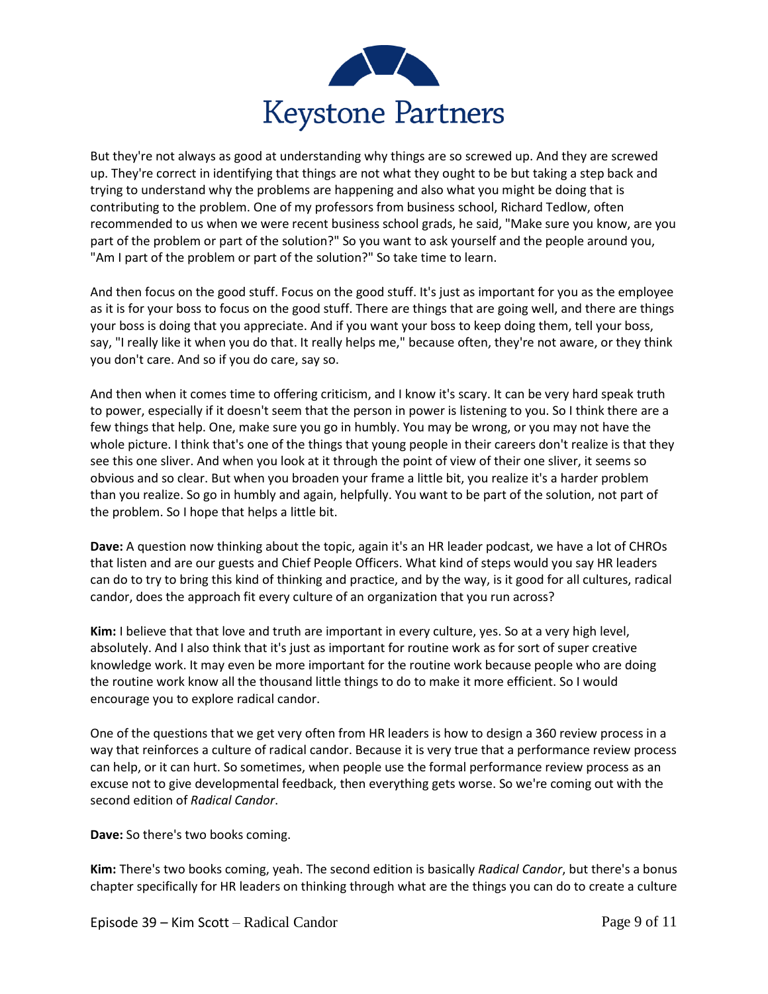

But they're not always as good at understanding why things are so screwed up. And they are screwed up. They're correct in identifying that things are not what they ought to be but taking a step back and trying to understand why the problems are happening and also what you might be doing that is contributing to the problem. One of my professors from business school, Richard Tedlow, often recommended to us when we were recent business school grads, he said, "Make sure you know, are you part of the problem or part of the solution?" So you want to ask yourself and the people around you, "Am I part of the problem or part of the solution?" So take time to learn.

And then focus on the good stuff. Focus on the good stuff. It's just as important for you as the employee as it is for your boss to focus on the good stuff. There are things that are going well, and there are things your boss is doing that you appreciate. And if you want your boss to keep doing them, tell your boss, say, "I really like it when you do that. It really helps me," because often, they're not aware, or they think you don't care. And so if you do care, say so.

And then when it comes time to offering criticism, and I know it's scary. It can be very hard speak truth to power, especially if it doesn't seem that the person in power is listening to you. So I think there are a few things that help. One, make sure you go in humbly. You may be wrong, or you may not have the whole picture. I think that's one of the things that young people in their careers don't realize is that they see this one sliver. And when you look at it through the point of view of their one sliver, it seems so obvious and so clear. But when you broaden your frame a little bit, you realize it's a harder problem than you realize. So go in humbly and again, helpfully. You want to be part of the solution, not part of the problem. So I hope that helps a little bit.

**Dave:** A question now thinking about the topic, again it's an HR leader podcast, we have a lot of CHROs that listen and are our guests and Chief People Officers. What kind of steps would you say HR leaders can do to try to bring this kind of thinking and practice, and by the way, is it good for all cultures, radical candor, does the approach fit every culture of an organization that you run across?

**Kim:** I believe that that love and truth are important in every culture, yes. So at a very high level, absolutely. And I also think that it's just as important for routine work as for sort of super creative knowledge work. It may even be more important for the routine work because people who are doing the routine work know all the thousand little things to do to make it more efficient. So I would encourage you to explore radical candor.

One of the questions that we get very often from HR leaders is how to design a 360 review process in a way that reinforces a culture of radical candor. Because it is very true that a performance review process can help, or it can hurt. So sometimes, when people use the formal performance review process as an excuse not to give developmental feedback, then everything gets worse. So we're coming out with the second edition of *Radical Candor*.

**Dave:** So there's two books coming.

**Kim:** There's two books coming, yeah. The second edition is basically *Radical Candor*, but there's a bonus chapter specifically for HR leaders on thinking through what are the things you can do to create a culture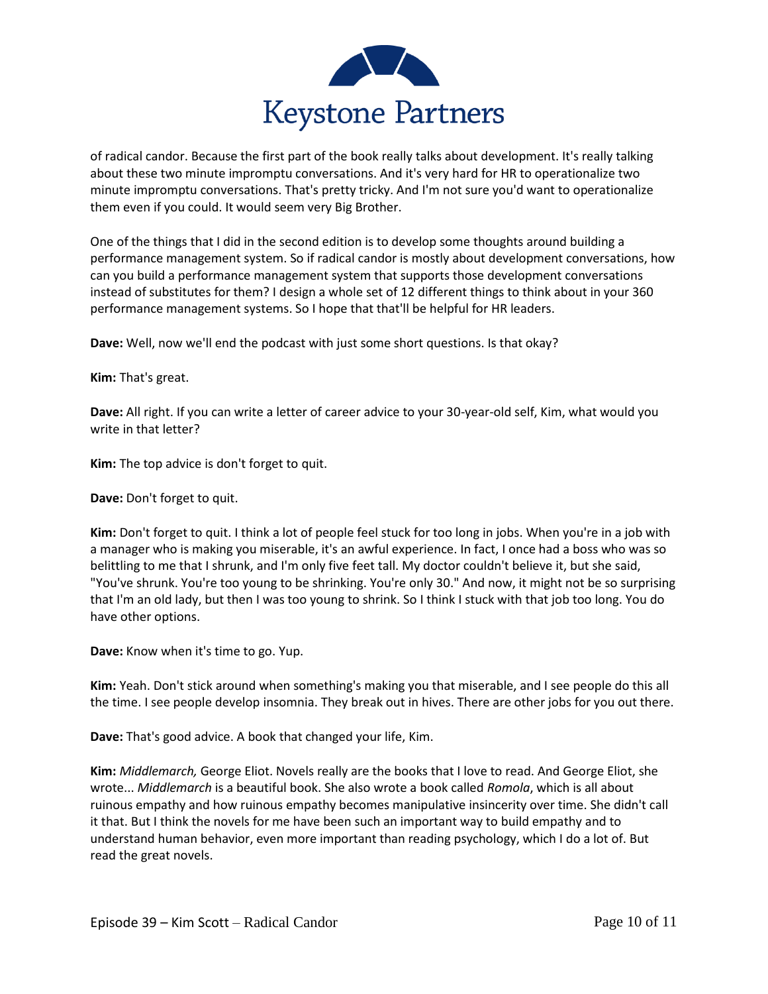

of radical candor. Because the first part of the book really talks about development. It's really talking about these two minute impromptu conversations. And it's very hard for HR to operationalize two minute impromptu conversations. That's pretty tricky. And I'm not sure you'd want to operationalize them even if you could. It would seem very Big Brother.

One of the things that I did in the second edition is to develop some thoughts around building a performance management system. So if radical candor is mostly about development conversations, how can you build a performance management system that supports those development conversations instead of substitutes for them? I design a whole set of 12 different things to think about in your 360 performance management systems. So I hope that that'll be helpful for HR leaders.

**Dave:** Well, now we'll end the podcast with just some short questions. Is that okay?

**Kim:** That's great.

**Dave:** All right. If you can write a letter of career advice to your 30-year-old self, Kim, what would you write in that letter?

**Kim:** The top advice is don't forget to quit.

**Dave:** Don't forget to quit.

**Kim:** Don't forget to quit. I think a lot of people feel stuck for too long in jobs. When you're in a job with a manager who is making you miserable, it's an awful experience. In fact, I once had a boss who was so belittling to me that I shrunk, and I'm only five feet tall. My doctor couldn't believe it, but she said, "You've shrunk. You're too young to be shrinking. You're only 30." And now, it might not be so surprising that I'm an old lady, but then I was too young to shrink. So I think I stuck with that job too long. You do have other options.

**Dave:** Know when it's time to go. Yup.

**Kim:** Yeah. Don't stick around when something's making you that miserable, and I see people do this all the time. I see people develop insomnia. They break out in hives. There are other jobs for you out there.

**Dave:** That's good advice. A book that changed your life, Kim.

**Kim:** *Middlemarch,* George Eliot. Novels really are the books that I love to read. And George Eliot, she wrote... *Middlemarch* is a beautiful book. She also wrote a book called *Romola*, which is all about ruinous empathy and how ruinous empathy becomes manipulative insincerity over time. She didn't call it that. But I think the novels for me have been such an important way to build empathy and to understand human behavior, even more important than reading psychology, which I do a lot of. But read the great novels.